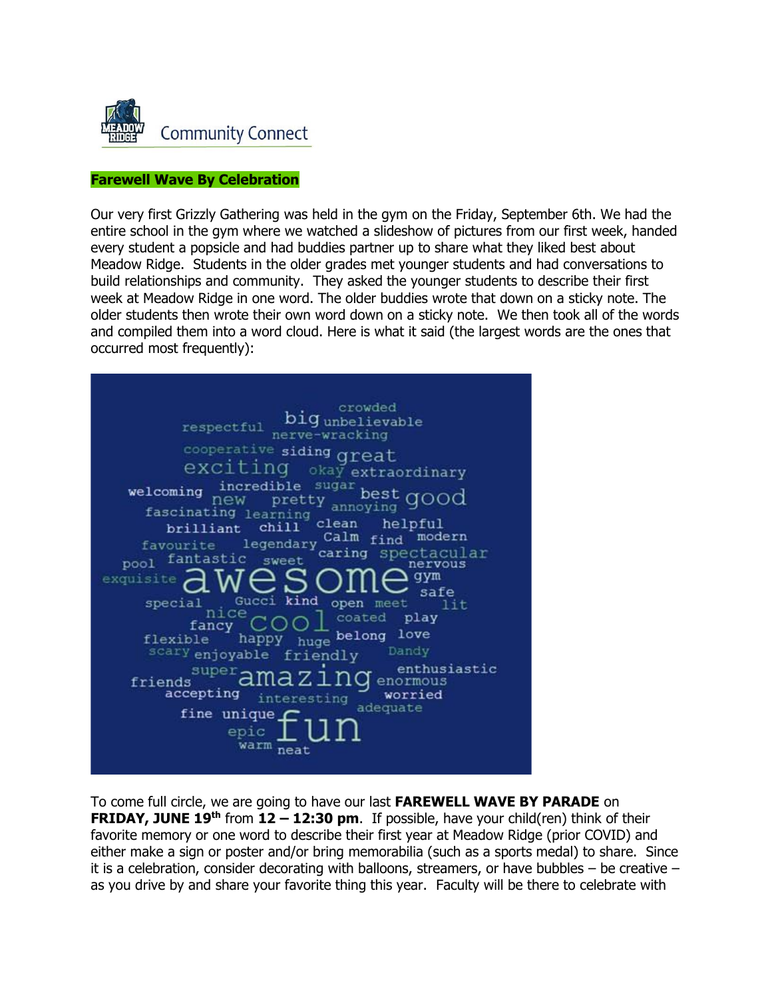

# **Farewell Wave By Celebration**

Our very first Grizzly Gathering was held in the gym on the Friday, September 6th. We had the entire school in the gym where we watched a slideshow of pictures from our first week, handed every student a popsicle and had buddies partner up to share what they liked best about Meadow Ridge. Students in the older grades met younger students and had conversations to build relationships and community. They asked the younger students to describe their first week at Meadow Ridge in one word. The older buddies wrote that down on a sticky note. The older students then wrote their own word down on a sticky note. We then took all of the words and compiled them into a word cloud. Here is what it said (the largest words are the ones that occurred most frequently):



To come full circle, we are going to have our last **FAREWELL WAVE BY PARADE** on **FRIDAY, JUNE 19th** from **12 – 12:30 pm**. If possible, have your child(ren) think of their favorite memory or one word to describe their first year at Meadow Ridge (prior COVID) and either make a sign or poster and/or bring memorabilia (such as a sports medal) to share. Since it is a celebration, consider decorating with balloons, streamers, or have bubbles – be creative – as you drive by and share your favorite thing this year. Faculty will be there to celebrate with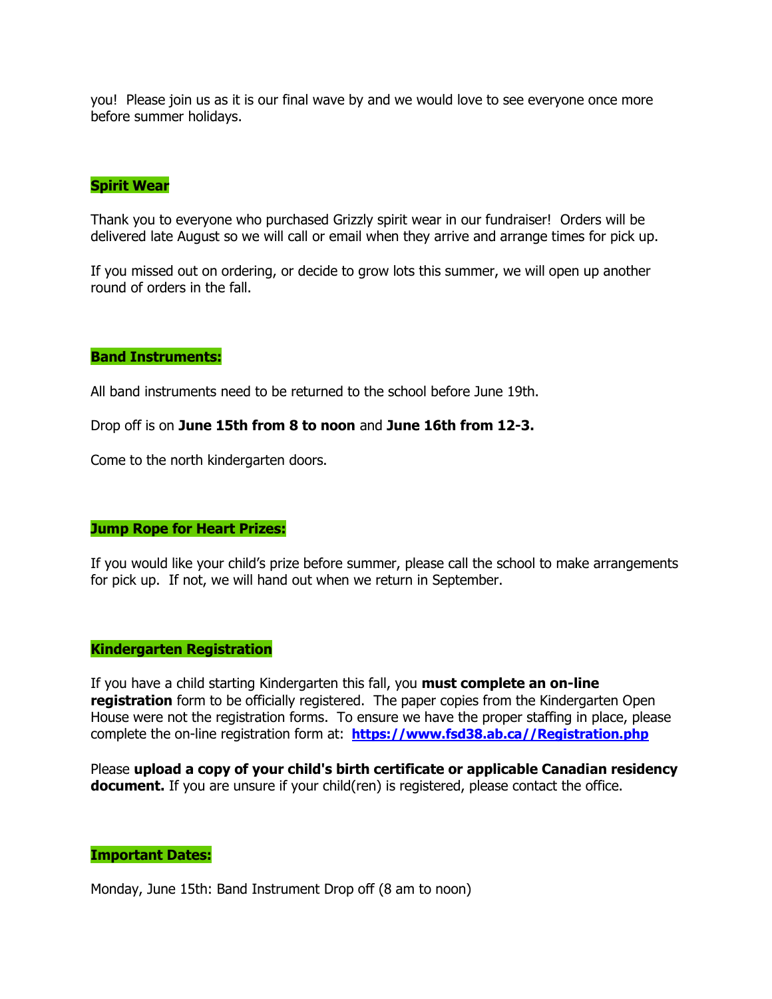you! Please join us as it is our final wave by and we would love to see everyone once more before summer holidays.

## **Spirit Wear**

Thank you to everyone who purchased Grizzly spirit wear in our fundraiser! Orders will be delivered late August so we will call or email when they arrive and arrange times for pick up.

If you missed out on ordering, or decide to grow lots this summer, we will open up another round of orders in the fall.

### **Band Instruments:**

All band instruments need to be returned to the school before June 19th.

Drop off is on **June 15th from 8 to noon** and **June 16th from 12-3.**

Come to the north kindergarten doors.

#### **Jump Rope for Heart Prizes:**

If you would like your child's prize before summer, please call the school to make arrangements for pick up. If not, we will hand out when we return in September.

#### **Kindergarten Registration**

If you have a child starting Kindergarten this fall, you **must complete an on-line registration** form to be officially registered. The paper copies from the Kindergarten Open House were not the registration forms. To ensure we have the proper staffing in place, please complete the on-line registration form at: **[https://www.fsd38.ab.ca//Registration.php](http://track.spe.schoolmessenger.com/f/a/xY05KUEBOXiwE4-HwetbEQ~~/AAAAAQA~/RgRgxj1BP0TPaHR0cDovL3RyYWNrLnNwZS5zY2hvb2xtZXNzZW5nZXIuY29tL2YvYS9MWEk1a0NaRGlfcXJDeVFkZ1VjMVBRfn4vQUFBQUFRQX4vUmdSZ250aTNQMFFvYUhSMGNITTZMeTkzZDNjdVpuTmtNemd1WVdJdVkyRXZVbVZuYVhOMGNtRjBhVzl1TG5Cb2NGY0hjMk5vYjI5c2JVSUtBRVkzcGIxZXQzWjFDbElVWm05eVkyaDFhM0pBWm5Oa016Z3VZV0l1WTJGWUJBQUFBQUl-VwdzY2hvb2xtQgoAR8EJ5V78CzNKUhJza2VldGJAZnNkMzguYWIuY2FYBAAAAAI~)**

Please **upload a copy of your child's birth certificate or applicable Canadian residency document.** If you are unsure if your child(ren) is registered, please contact the office.

## **Important Dates:**

Monday, June 15th: Band Instrument Drop off (8 am to noon)